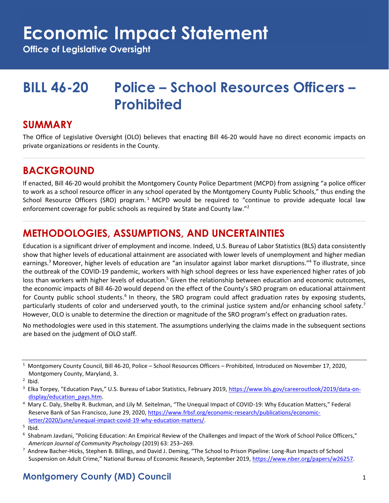## **Economic Impact Statement**

**Office of Legislative Oversight**

## **BILL 46-20 Police – School Resources Officers – Prohibited**

#### **SUMMARY**

The Office of Legislative Oversight (OLO) believes that enacting Bill 46-20 would have no direct economic impacts on private organizations or residents in the County.

## **BACKGROUND**

If enacted, Bill 46-20 would prohibit the Montgomery County Police Department (MCPD) from assigning "a police officer to work as a school resource officer in any school operated by the Montgomery County Public Schools," thus ending the School Resource Officers (SRO) program.<sup>1</sup> MCPD would be required to "continue to provide adequate local law enforcement coverage for public schools as required by State and County law."<sup>2</sup>

## **METHODOLOGIES, ASSUMPTIONS, AND UNCERTAINTIES**

Education is a significant driver of employment and income. Indeed, U.S. Bureau of Labor Statistics (BLS) data consistently show that higher levels of educational attainment are associated with lower levels of unemployment and higher median earnings.<sup>3</sup> Moreover, higher levels of education are "an insulator against labor market disruptions."<sup>4</sup> To illustrate, since the outbreak of the COVID-19 pandemic, workers with high school degrees or less have experienced higher rates of job loss than workers with higher levels of education.<sup>5</sup> Given the relationship between education and economic outcomes, the economic impacts of Bill 46-20 would depend on the effect of the County's SRO program on educational attainment for County public school students.<sup>6</sup> In theory, the SRO program could affect graduation rates by exposing students, particularly students of color and underserved youth, to the criminal justice system and/or enhancing school safety.<sup>7</sup> However, OLO is unable to determine the direction or magnitude of the SRO program's effect on graduation rates.

No methodologies were used in this statement. The assumptions underlying the claims made in the subsequent sections are based on the judgment of OLO staff.

<sup>4</sup> Mary C. Daly, Shelby R. Buckman, and Lily M. Seitelman, "The Unequal Impact of COVID-19: Why Education Matters," Federal Reserve Bank of San Francisco, June 29, 2020, [https://www.frbsf.org/economic-research/publications/economic](https://www.frbsf.org/economic-research/publications/economic-letter/2020/june/unequal-impact-covid-19-why-education-matters/)[letter/2020/june/unequal-impact-covid-19-why-education-matters/.](https://www.frbsf.org/economic-research/publications/economic-letter/2020/june/unequal-impact-covid-19-why-education-matters/)

<sup>7</sup> Andrew Bacher-Hicks, Stephen B. Billings, and David J. Deming, "The School to Prison Pipeline: Long-Run Impacts of School Suspension on Adult Crime," National Bureau of Economic Research, September 2019, [https://www.nber.org/papers/w26257.](https://www.nber.org/papers/w26257)

<sup>1</sup> Montgomery County Council, Bill 46-20, Police – School Resources Officers – Prohibited, Introduced on November 17, 2020, Montgomery County, Maryland, 3.

 $2$  Ibid.

<sup>&</sup>lt;sup>3</sup> Elka Torpey, "Education Pays," U.S. Bureau of Labor Statistics, February 2019, [https://www.bls.gov/careeroutlook/2019/data-on](https://www.bls.gov/careeroutlook/2019/data-on-display/education_pays.htm)[display/education\\_pays.htm.](https://www.bls.gov/careeroutlook/2019/data-on-display/education_pays.htm) 

<sup>5</sup> Ibid.

<sup>&</sup>lt;sup>6</sup> Shabnam Javdani, "Policing Education: An Empirical Review of the Challenges and Impact of the Work of School Police Officers," *American Journal of Community Psychology* (2019) 63: 253–269.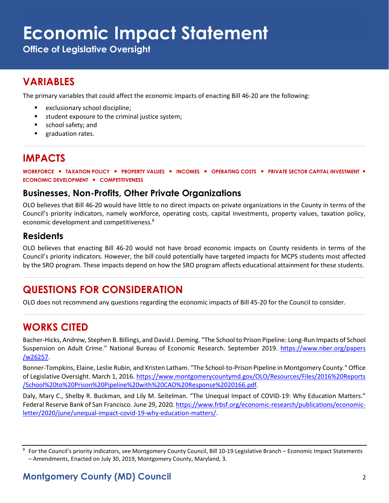# **Economic Impact Statement**

**Office of Legislative Oversight**

## **VARIABLES**

The primary variables that could affect the economic impacts of enacting Bill 46-20 are the following:

- exclusionary school discipline;
- student exposure to the criminal justice system;
- school safety; and
- **■** graduation rates.

### **IMPACTS**

**WORKFORCE** ▪ **TAXATION POLICY** ▪ **PROPERTY VALUES** ▪ **INCOMES** ▪ **OPERATING COSTS** ▪ **PRIVATE SECTOR CAPITAL INVESTMENT** ▪ **ECONOMIC DEVELOPMENT** ▪ **COMPETITIVENESS**

#### **Businesses, Non-Profits, Other Private Organizations**

OLO believes that Bill 46-20 would have little to no direct impacts on private organizations in the County in terms of the Council's priority indicators, namely workforce, operating costs, capital investments, property values, taxation policy, economic development and competitiveness.<sup>8</sup>

#### **Residents**

OLO believes that enacting Bill 46-20 would not have broad economic impacts on County residents in terms of the Council's priority indicators. However, the bill could potentially have targeted impacts for MCPS students most affected by the SRO program. These impacts depend on how the SRO program affects educational attainment for these students.

## **QUESTIONS FOR CONSIDERATION**

OLO does not recommend any questions regarding the economic impacts of Bill 45-20 for the Council to consider.

## **WORKS CITED**

Bacher-Hicks, Andrew, Stephen B. Billings, and David J. Deming. "The School to Prison Pipeline: Long-Run Impacts of School Suspension on Adult Crime." National Bureau of Economic Research. September 2019. [https://www.nber.org/papers](https://www.nber.org/papers/w26257) [/w26257.](https://www.nber.org/papers/w26257)

Bonner-Tompkins, Elaine, Leslie Rubin, and Kristen Latham. "The School-to-Prison Pipeline in Montgomery County." Office of Legislative Oversight. March 1, 2016. [https://www.montgomerycountymd.gov/OLO/Resources/Files/2016%20Reports](https://www.montgomerycountymd.gov/OLO/Resources/Files/2016%20Reports/School%20to%20Prison%20Pipeline%20with%20CAO%20Response%2020166.pdf) [/School%20to%20Prison%20Pipeline%20with%20CAO%20Response%2020166.pdf.](https://www.montgomerycountymd.gov/OLO/Resources/Files/2016%20Reports/School%20to%20Prison%20Pipeline%20with%20CAO%20Response%2020166.pdf)

Daly, Mary C., Shelby R. Buckman, and Lily M. Seitelman. "The Unequal Impact of COVID-19: Why Education Matters." Federal Reserve Bank of San Francisco. June 29, 2020. [https://www.frbsf.org/economic-research/publications/economic](https://www.frbsf.org/economic-research/publications/economic-letter/2020/june/unequal-impact-covid-19-why-education-matters/)[letter/2020/june/unequal-impact-covid-19-why-education-matters/.](https://www.frbsf.org/economic-research/publications/economic-letter/2020/june/unequal-impact-covid-19-why-education-matters/)

<sup>&</sup>lt;sup>8</sup> For the Council's priority indicators, see Montgomery County Council, Bill 10-19 Legislative Branch – Economic Impact Statements – Amendments, Enacted on July 30, 2019, Montgomery County, Maryland, 3.